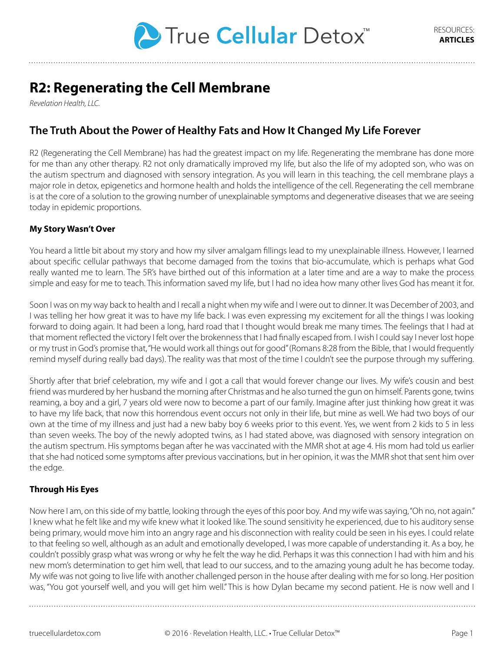

# **R2: Regenerating the Cell Membrane**

*Revelation Health, LLC.*

# **The Truth About the Power of Healthy Fats and How It Changed My Life Forever**

R2 (Regenerating the Cell Membrane) has had the greatest impact on my life. Regenerating the membrane has done more for me than any other therapy. R2 not only dramatically improved my life, but also the life of my adopted son, who was on the autism spectrum and diagnosed with sensory integration. As you will learn in this teaching, the cell membrane plays a major role in detox, epigenetics and hormone health and holds the intelligence of the cell. Regenerating the cell membrane is at the core of a solution to the growing number of unexplainable symptoms and degenerative diseases that we are seeing today in epidemic proportions.

## **My Story Wasn't Over**

You heard a little bit about my story and how my silver amalgam fillings lead to my unexplainable illness. However, I learned about specific cellular pathways that become damaged from the toxins that bio-accumulate, which is perhaps what God really wanted me to learn. The 5R's have birthed out of this information at a later time and are a way to make the process simple and easy for me to teach. This information saved my life, but I had no idea how many other lives God has meant it for.

Soon I was on my way back to health and I recall a night when my wife and I were out to dinner. It was December of 2003, and I was telling her how great it was to have my life back. I was even expressing my excitement for all the things I was looking forward to doing again. It had been a long, hard road that I thought would break me many times. The feelings that I had at that moment reflected the victory I felt over the brokenness that I had finally escaped from. I wish I could say I never lost hope or my trust in God's promise that, "He would work all things out for good" (Romans 8:28 from the Bible, that I would frequently remind myself during really bad days). The reality was that most of the time I couldn't see the purpose through my suffering.

Shortly after that brief celebration, my wife and I got a call that would forever change our lives. My wife's cousin and best friend was murdered by her husband the morning after Christmas and he also turned the gun on himself. Parents gone, twins reaming, a boy and a girl, 7 years old were now to become a part of our family. Imagine after just thinking how great it was to have my life back, that now this horrendous event occurs not only in their life, but mine as well. We had two boys of our own at the time of my illness and just had a new baby boy 6 weeks prior to this event. Yes, we went from 2 kids to 5 in less than seven weeks. The boy of the newly adopted twins, as I had stated above, was diagnosed with sensory integration on the autism spectrum. His symptoms began after he was vaccinated with the MMR shot at age 4. His mom had told us earlier that she had noticed some symptoms after previous vaccinations, but in her opinion, it was the MMR shot that sent him over the edge.

#### **Through His Eyes**

Now here I am, on this side of my battle, looking through the eyes of this poor boy. And my wife was saying, "Oh no, not again." I knew what he felt like and my wife knew what it looked like. The sound sensitivity he experienced, due to his auditory sense being primary, would move him into an angry rage and his disconnection with reality could be seen in his eyes. I could relate to that feeling so well, although as an adult and emotionally developed, I was more capable of understanding it. As a boy, he couldn't possibly grasp what was wrong or why he felt the way he did. Perhaps it was this connection I had with him and his new mom's determination to get him well, that lead to our success, and to the amazing young adult he has become today. My wife was not going to live life with another challenged person in the house after dealing with me for so long. Her position was, "You got yourself well, and you will get him well." This is how Dylan became my second patient. He is now well and I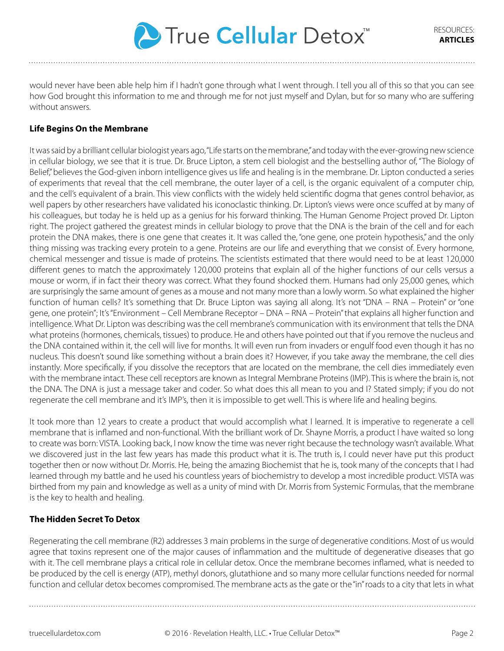

would never have been able help him if I hadn't gone through what I went through. I tell you all of this so that you can see how God brought this information to me and through me for not just myself and Dylan, but for so many who are suffering without answers.

# **Life Begins On the Membrane**

It was said by a brilliant cellular biologist years ago, "Life starts on the membrane," and today with the ever-growing new science in cellular biology, we see that it is true. Dr. Bruce Lipton, a stem cell biologist and the bestselling author of, "The Biology of Belief," believes the God-given inborn intelligence gives us life and healing is in the membrane. Dr. Lipton conducted a series of experiments that reveal that the cell membrane, the outer layer of a cell, is the organic equivalent of a computer chip, and the cell's equivalent of a brain. This view conflicts with the widely held scientific dogma that genes control behavior, as well papers by other researchers have validated his iconoclastic thinking. Dr. Lipton's views were once scuffed at by many of his colleagues, but today he is held up as a genius for his forward thinking. The Human Genome Project proved Dr. Lipton right. The project gathered the greatest minds in cellular biology to prove that the DNA is the brain of the cell and for each protein the DNA makes, there is one gene that creates it. It was called the, "one gene, one protein hypothesis," and the only thing missing was tracking every protein to a gene. Proteins are our life and everything that we consist of. Every hormone, chemical messenger and tissue is made of proteins. The scientists estimated that there would need to be at least 120,000 different genes to match the approximately 120,000 proteins that explain all of the higher functions of our cells versus a mouse or worm, if in fact their theory was correct. What they found shocked them. Humans had only 25,000 genes, which are surprisingly the same amount of genes as a mouse and not many more than a lowly worm. So what explained the higher function of human cells? It's something that Dr. Bruce Lipton was saying all along. It's not "DNA – RNA – Protein" or "one gene, one protein"; It's "Environment – Cell Membrane Receptor – DNA – RNA – Protein" that explains all higher function and intelligence. What Dr. Lipton was describing was the cell membrane's communication with its environment that tells the DNA what proteins (hormones, chemicals, tissues) to produce. He and others have pointed out that if you remove the nucleus and the DNA contained within it, the cell will live for months. It will even run from invaders or engulf food even though it has no nucleus. This doesn't sound like something without a brain does it? However, if you take away the membrane, the cell dies instantly. More specifically, if you dissolve the receptors that are located on the membrane, the cell dies immediately even with the membrane intact. These cell receptors are known as Integral Membrane Proteins (IMP). This is where the brain is, not the DNA. The DNA is just a message taker and coder. So what does this all mean to you and I? Stated simply; if you do not regenerate the cell membrane and it's IMP's, then it is impossible to get well. This is where life and healing begins.

It took more than 12 years to create a product that would accomplish what I learned. It is imperative to regenerate a cell membrane that is inflamed and non-functional. With the brilliant work of Dr. Shayne Morris, a product I have waited so long to create was born: VISTA. Looking back, I now know the time was never right because the technology wasn't available. What we discovered just in the last few years has made this product what it is. The truth is, I could never have put this product together then or now without Dr. Morris. He, being the amazing Biochemist that he is, took many of the concepts that I had learned through my battle and he used his countless years of biochemistry to develop a most incredible product. VISTA was birthed from my pain and knowledge as well as a unity of mind with Dr. Morris from Systemic Formulas, that the membrane is the key to health and healing.

#### **The Hidden Secret To Detox**

Regenerating the cell membrane (R2) addresses 3 main problems in the surge of degenerative conditions. Most of us would agree that toxins represent one of the major causes of inflammation and the multitude of degenerative diseases that go with it. The cell membrane plays a critical role in cellular detox. Once the membrane becomes inflamed, what is needed to be produced by the cell is energy (ATP), methyl donors, glutathione and so many more cellular functions needed for normal function and cellular detox becomes compromised. The membrane acts as the gate or the "in" roads to a city that lets in what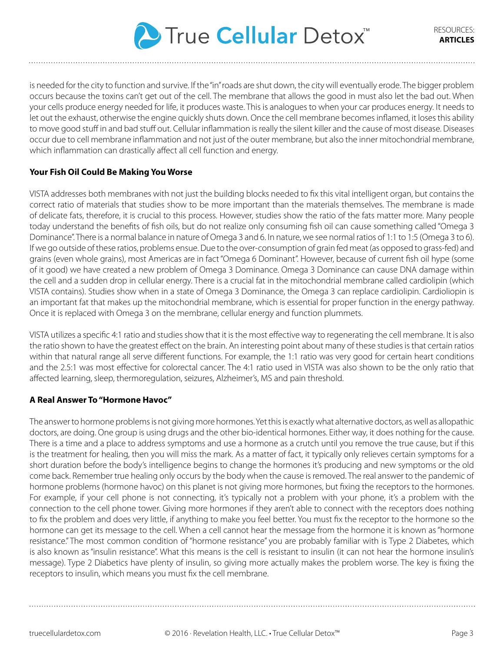

is needed for the city to function and survive. If the "in" roads are shut down, the city will eventually erode. The bigger problem occurs because the toxins can't get out of the cell. The membrane that allows the good in must also let the bad out. When your cells produce energy needed for life, it produces waste. This is analogues to when your car produces energy. It needs to let out the exhaust, otherwise the engine quickly shuts down. Once the cell membrane becomes inflamed, it loses this ability to move good stuff in and bad stuff out. Cellular inflammation is really the silent killer and the cause of most disease. Diseases occur due to cell membrane inflammation and not just of the outer membrane, but also the inner mitochondrial membrane, which inflammation can drastically affect all cell function and energy.

## **Your Fish Oil Could Be Making You Worse**

VISTA addresses both membranes with not just the building blocks needed to fix this vital intelligent organ, but contains the correct ratio of materials that studies show to be more important than the materials themselves. The membrane is made of delicate fats, therefore, it is crucial to this process. However, studies show the ratio of the fats matter more. Many people today understand the benefits of fish oils, but do not realize only consuming fish oil can cause something called "Omega 3 Dominance". There is a normal balance in nature of Omega 3 and 6. In nature, we see normal ratios of 1:1 to 1:5 (Omega 3 to 6). If we go outside of these ratios, problems ensue. Due to the over-consumption of grain fed meat (as opposed to grass-fed) and grains (even whole grains), most Americas are in fact "Omega 6 Dominant". However, because of current fish oil hype (some of it good) we have created a new problem of Omega 3 Dominance. Omega 3 Dominance can cause DNA damage within the cell and a sudden drop in cellular energy. There is a crucial fat in the mitochondrial membrane called cardiolipin (which VISTA contains). Studies show when in a state of Omega 3 Dominance, the Omega 3 can replace cardiolipin. Cardioliopin is an important fat that makes up the mitochondrial membrane, which is essential for proper function in the energy pathway. Once it is replaced with Omega 3 on the membrane, cellular energy and function plummets.

VISTA utilizes a specific 4:1 ratio and studies show that it is the most effective way to regenerating the cell membrane. It is also the ratio shown to have the greatest effect on the brain. An interesting point about many of these studies is that certain ratios within that natural range all serve different functions. For example, the 1:1 ratio was very good for certain heart conditions and the 2.5:1 was most effective for colorectal cancer. The 4:1 ratio used in VISTA was also shown to be the only ratio that affected learning, sleep, thermoregulation, seizures, Alzheimer's, MS and pain threshold.

#### **A Real Answer To "Hormone Havoc"**

The answer to hormone problems is not giving more hormones. Yet this is exactly what alternative doctors, as well as allopathic doctors, are doing. One group is using drugs and the other bio-identical hormones. Either way, it does nothing for the cause. There is a time and a place to address symptoms and use a hormone as a crutch until you remove the true cause, but if this is the treatment for healing, then you will miss the mark. As a matter of fact, it typically only relieves certain symptoms for a short duration before the body's intelligence begins to change the hormones it's producing and new symptoms or the old come back. Remember true healing only occurs by the body when the cause is removed. The real answer to the pandemic of hormone problems (hormone havoc) on this planet is not giving more hormones, but fixing the receptors to the hormones. For example, if your cell phone is not connecting, it's typically not a problem with your phone, it's a problem with the connection to the cell phone tower. Giving more hormones if they aren't able to connect with the receptors does nothing to fix the problem and does very little, if anything to make you feel better. You must fix the receptor to the hormone so the hormone can get its message to the cell. When a cell cannot hear the message from the hormone it is known as "hormone resistance." The most common condition of "hormone resistance" you are probably familiar with is Type 2 Diabetes, which is also known as "insulin resistance". What this means is the cell is resistant to insulin (it can not hear the hormone insulin's message). Type 2 Diabetics have plenty of insulin, so giving more actually makes the problem worse. The key is fixing the receptors to insulin, which means you must fix the cell membrane.